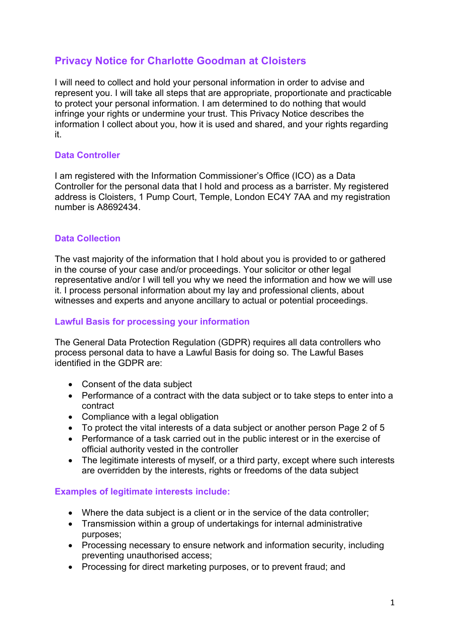# **Privacy Notice for Charlotte Goodman at Cloisters**

I will need to collect and hold your personal information in order to advise and represent you. I will take all steps that are appropriate, proportionate and practicable to protect your personal information. I am determined to do nothing that would infringe your rights or undermine your trust. This Privacy Notice describes the information I collect about you, how it is used and shared, and your rights regarding it.

# **Data Controller**

I am registered with the Information Commissioner's Office (ICO) as a Data Controller for the personal data that I hold and process as a barrister. My registered address is Cloisters, 1 Pump Court, Temple, London EC4Y 7AA and my registration number is A8692434.

# **Data Collection**

The vast majority of the information that I hold about you is provided to or gathered in the course of your case and/or proceedings. Your solicitor or other legal representative and/or I will tell you why we need the information and how we will use it. I process personal information about my lay and professional clients, about witnesses and experts and anyone ancillary to actual or potential proceedings.

## **Lawful Basis for processing your information**

The General Data Protection Regulation (GDPR) requires all data controllers who process personal data to have a Lawful Basis for doing so. The Lawful Bases identified in the GDPR are:

- Consent of the data subject
- Performance of a contract with the data subject or to take steps to enter into a contract
- Compliance with a legal obligation
- To protect the vital interests of a data subiect or another person Page 2 of 5
- Performance of a task carried out in the public interest or in the exercise of official authority vested in the controller
- The legitimate interests of myself, or a third party, except where such interests are overridden by the interests, rights or freedoms of the data subject

## **Examples of legitimate interests include:**

- Where the data subject is a client or in the service of the data controller;
- Transmission within a group of undertakings for internal administrative purposes;
- Processing necessary to ensure network and information security, including preventing unauthorised access;
- Processing for direct marketing purposes, or to prevent fraud; and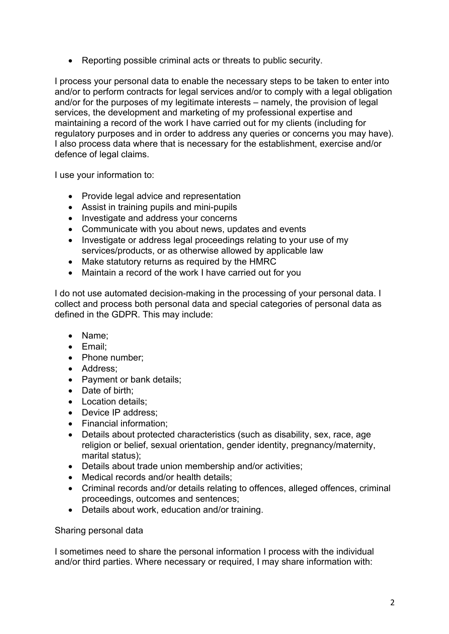• Reporting possible criminal acts or threats to public security.

I process your personal data to enable the necessary steps to be taken to enter into and/or to perform contracts for legal services and/or to comply with a legal obligation and/or for the purposes of my legitimate interests – namely, the provision of legal services, the development and marketing of my professional expertise and maintaining a record of the work I have carried out for my clients (including for regulatory purposes and in order to address any queries or concerns you may have). I also process data where that is necessary for the establishment, exercise and/or defence of legal claims.

I use your information to:

- Provide legal advice and representation
- Assist in training pupils and mini-pupils
- Investigate and address your concerns
- Communicate with you about news, updates and events
- Investigate or address legal proceedings relating to your use of my services/products, or as otherwise allowed by applicable law
- Make statutory returns as required by the HMRC
- Maintain a record of the work I have carried out for you

I do not use automated decision-making in the processing of your personal data. I collect and process both personal data and special categories of personal data as defined in the GDPR. This may include:

- Name;
- Email;
- Phone number;
- Address;
- Payment or bank details;
- Date of birth:
- Location details:
- Device IP address:
- Financial information;
- Details about protected characteristics (such as disability, sex, race, age religion or belief, sexual orientation, gender identity, pregnancy/maternity, marital status);
- Details about trade union membership and/or activities;
- Medical records and/or health details;
- Criminal records and/or details relating to offences, alleged offences, criminal proceedings, outcomes and sentences;
- Details about work, education and/or training.

## Sharing personal data

I sometimes need to share the personal information I process with the individual and/or third parties. Where necessary or required, I may share information with: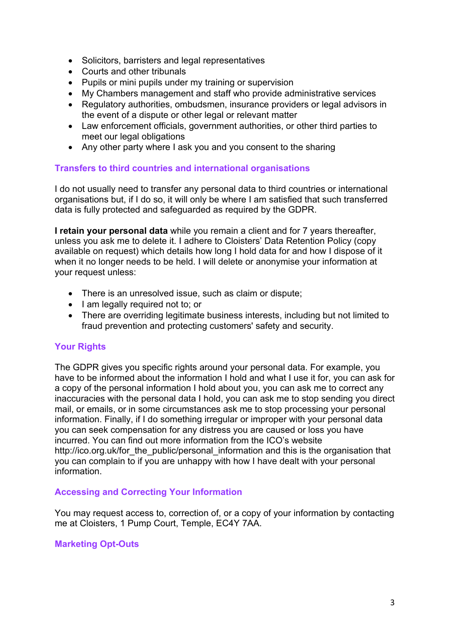- Solicitors, barristers and legal representatives
- Courts and other tribunals
- Pupils or mini pupils under my training or supervision
- My Chambers management and staff who provide administrative services
- Regulatory authorities, ombudsmen, insurance providers or legal advisors in the event of a dispute or other legal or relevant matter
- Law enforcement officials, government authorities, or other third parties to meet our legal obligations
- Any other party where I ask you and you consent to the sharing

## **Transfers to third countries and international organisations**

I do not usually need to transfer any personal data to third countries or international organisations but, if I do so, it will only be where I am satisfied that such transferred data is fully protected and safeguarded as required by the GDPR.

**I retain your personal data** while you remain a client and for 7 years thereafter, unless you ask me to delete it. I adhere to Cloisters' Data Retention Policy (copy available on request) which details how long I hold data for and how I dispose of it when it no longer needs to be held. I will delete or anonymise your information at your request unless:

- There is an unresolved issue, such as claim or dispute;
- I am legally required not to; or
- There are overriding legitimate business interests, including but not limited to fraud prevention and protecting customers' safety and security.

# **Your Rights**

The GDPR gives you specific rights around your personal data. For example, you have to be informed about the information I hold and what I use it for, you can ask for a copy of the personal information I hold about you, you can ask me to correct any inaccuracies with the personal data I hold, you can ask me to stop sending you direct mail, or emails, or in some circumstances ask me to stop processing your personal information. Finally, if I do something irregular or improper with your personal data you can seek compensation for any distress you are caused or loss you have incurred. You can find out more information from the ICO's website http://ico.org.uk/for\_the\_public/personal\_information and this is the organisation that you can complain to if you are unhappy with how I have dealt with your personal information.

## **Accessing and Correcting Your Information**

You may request access to, correction of, or a copy of your information by contacting me at Cloisters, 1 Pump Court, Temple, EC4Y 7AA.

# **Marketing Opt-Outs**